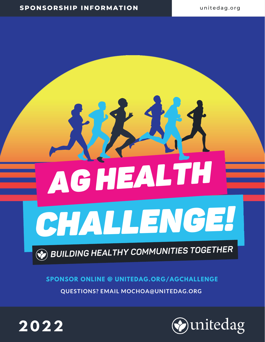# ACHEALTH CHALLEN GE!

## **BUILDING HEALTHY COMMUNITIES TOGETHER**

#### **SPONSOR ONLINE @ UNITEDAG.ORG/AGCHALLENGE**

**QUESTIONS? EMAIL MOCHOA@UNITEDAG.ORG**